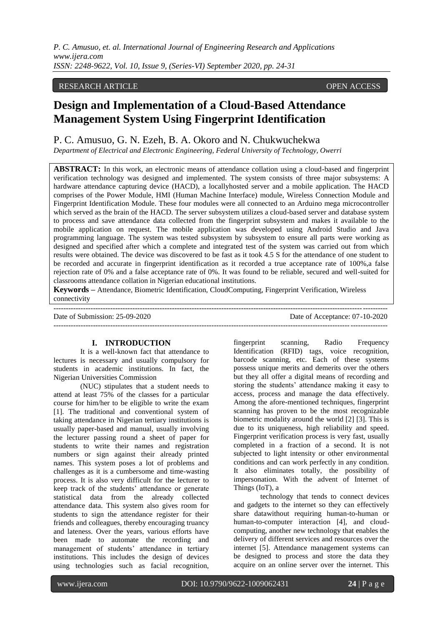# RESEARCH ARTICLE **CONSERVERS**

# **Design and Implementation of a Cloud-Based Attendance Management System Using Fingerprint Identification**

# P. C. Amusuo, G. N. Ezeh, B. A. Okoro and N. Chukwuchekwa

*Department of Electrical and Electronic Engineering, Federal University of Technology, Owerri* 

**ABSTRACT:** In this work, an electronic means of attendance collation using a cloud-based and fingerprint verification technology was designed and implemented. The system consists of three major subsystems: A hardware attendance capturing device (HACD), a locallyhosted server and a mobile application. The HACD comprises of the Power Module, HMI (Human Machine Interface) module, Wireless Connection Module and Fingerprint Identification Module. These four modules were all connected to an Arduino mega microcontroller which served as the brain of the HACD. The server subsystem utilizes a cloud-based server and database system to process and save attendance data collected from the fingerprint subsystem and makes it available to the mobile application on request. The mobile application was developed using Android Studio and Java programming language. The system was tested subsystem by subsystem to ensure all parts were working as designed and specified after which a complete and integrated test of the system was carried out from which results were obtained. The device was discovered to be fast as it took 4.5 S for the attendance of one student to be recorded and accurate in fingerprint identification as it recorded a true acceptance rate of 100%,a false rejection rate of 0% and a false acceptance rate of 0%. It was found to be reliable, secured and well-suited for classrooms attendance collation in Nigerian educational institutions.

**Keywords –** Attendance, Biometric Identification, CloudComputing, Fingerprint Verification, Wireless connectivity

---------------------------------------------------------------------------------------------------------------------------------------

---------------------------------------------------------------------------------------------------------------------------------------

Date of Submission: 25-09-2020 Date of Acceptance: 07-10-2020

#### **I. INTRODUCTION**

It is a well-known fact that attendance to lectures is necessary and usually compulsory for students in academic institutions. In fact, the Nigerian Universities Commission

(NUC) stipulates that a student needs to attend at least 75% of the classes for a particular course for him/her to be eligible to write the exam [1]. The traditional and conventional system of taking attendance in Nigerian tertiary institutions is usually paper-based and manual, usually involving the lecturer passing round a sheet of paper for students to write their names and registration numbers or sign against their already printed names. This system poses a lot of problems and challenges as it is a cumbersome and time-wasting process. It is also very difficult for the lecturer to keep track of the students' attendance or generate statistical data from the already collected attendance data. This system also gives room for students to sign the attendance register for their friends and colleagues, thereby encouraging truancy and lateness. Over the years, various efforts have been made to automate the recording and management of students' attendance in tertiary institutions. This includes the design of devices using technologies such as facial recognition,

fingerprint scanning, Radio Frequency Identification (RFID) tags, voice recognition, barcode scanning, etc. Each of these systems possess unique merits and demerits over the others but they all offer a digital means of recording and storing the students' attendance making it easy to access, process and manage the data effectively. Among the afore-mentioned techniques, fingerprint scanning has proven to be the most recognizable biometric modality around the world [2] [3]. This is due to its uniqueness, high reliability and speed. Fingerprint verification process is very fast, usually completed in a fraction of a second. It is not subjected to light intensity or other environmental conditions and can work perfectly in any condition. It also eliminates totally, the possibility of impersonation. With the advent of Internet of Things (IoT), a

technology that tends to connect devices and gadgets to the internet so they can effectively share datawithout requiring human-to-human or human-to-computer interaction [4], and cloudcomputing, another new technology that enables the delivery of different services and resources over the internet [5]. Attendance management systems can be designed to process and store the data they acquire on an online server over the internet. This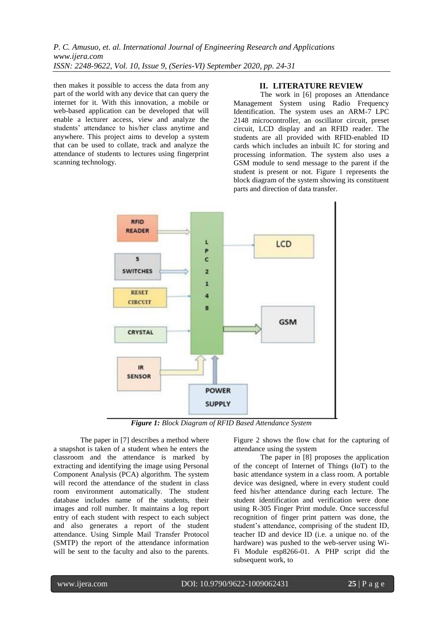then makes it possible to access the data from any part of the world with any device that can query the internet for it. With this innovation, a mobile or web-based application can be developed that will enable a lecturer access, view and analyze the students' attendance to his/her class anytime and anywhere. This project aims to develop a system that can be used to collate, track and analyze the attendance of students to lectures using fingerprint scanning technology.

# **II. LITERATURE REVIEW**

The work in [6] proposes an Attendance Management System using Radio Frequency Identification. The system uses an ARM-7 LPC 2148 microcontroller, an oscillator circuit, preset circuit, LCD display and an RFID reader. The students are all provided with RFID-enabled ID cards which includes an inbuilt IC for storing and processing information. The system also uses a GSM module to send message to the parent if the student is present or not. Figure 1 represents the block diagram of the system showing its constituent parts and direction of data transfer.



*Figure 1: Block Diagram of RFID Based Attendance System* 

The paper in [7] describes a method where a snapshot is taken of a student when he enters the classroom and the attendance is marked by extracting and identifying the image using Personal Component Analysis (PCA) algorithm. The system will record the attendance of the student in class room environment automatically. The student database includes name of the students, their images and roll number. It maintains a log report entry of each student with respect to each subject and also generates a report of the student attendance. Using Simple Mail Transfer Protocol (SMTP) the report of the attendance information will be sent to the faculty and also to the parents.

Figure 2 shows the flow chat for the capturing of attendance using the system

The paper in [8] proposes the application of the concept of Internet of Things (IoT) to the basic attendance system in a class room. A portable device was designed, where in every student could feed his/her attendance during each lecture. The student identification and verification were done using R-305 Finger Print module. Once successful recognition of finger print pattern was done, the student's attendance, comprising of the student ID, teacher ID and device ID (i.e. a unique no. of the hardware) was pushed to the web-server using Wi-Fi Module esp8266-01. A PHP script did the subsequent work, to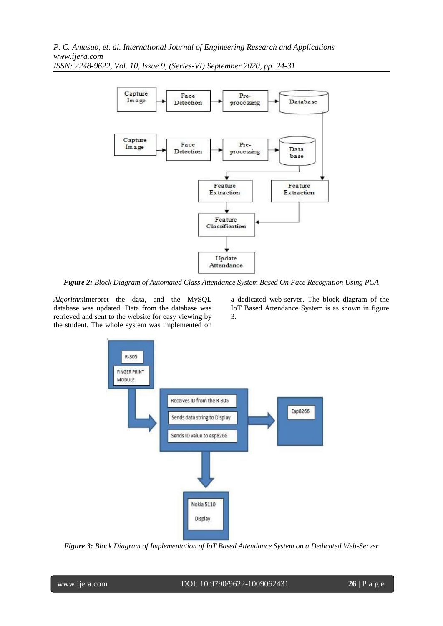

*Figure 2: Block Diagram of Automated Class Attendance System Based On Face Recognition Using PCA* 

*Algorithm*interpret the data, and the MySQL database was updated. Data from the database was retrieved and sent to the website for easy viewing by the student. The whole system was implemented on

a dedicated web-server. The block diagram of the IoT Based Attendance System is as shown in figure 3.



*Figure 3: Block Diagram of Implementation of IoT Based Attendance System on a Dedicated Web-Server*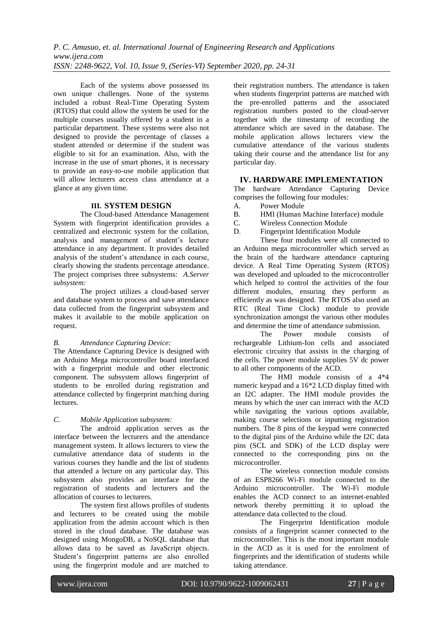Each of the systems above possessed its own unique challenges. None of the systems included a robust Real-Time Operating System (RTOS) that could allow the system be used for the multiple courses usually offered by a student in a particular department. These systems were also not designed to provide the percentage of classes a student attended or determine if the student was eligible to sit for an examination. Also, with the increase in the use of smart phones, it is necessary to provide an easy-to-use mobile application that will allow lecturers access class attendance at a glance at any given time.

# **III. SYSTEM DESIGN**

The Cloud-based Attendance Management System with fingerprint identification provides a centralized and electronic system for the collation, analysis and management of student's lecture attendance in any department. It provides detailed analysis of the student's attendance in each course, clearly showing the students percentage attendance. The project comprises three subsystems: *A.Server subsystem:* 

The project utilizes a cloud-based server and database system to process and save attendance data collected from the fingerprint subsystem and makes it available to the mobile application on request.

# *B. Attendance Capturing Device:*

The Attendance Capturing Device is designed with an Arduino Mega microcontroller board interfaced with a fingerprint module and other electronic component. The subsystem allows fingerprint of students to be enrolled during registration and attendance collected by fingerprint matching during lectures.

# *C. Mobile Application subsystem:*

The android application serves as the interface between the lecturers and the attendance management system. It allows lecturers to view the cumulative attendance data of students in the various courses they handle and the list of students that attended a lecture on any particular day. This subsystem also provides an interface for the registration of students and lecturers and the allocation of courses to lecturers.

The system first allows profiles of students and lecturers to be created using the mobile application from the admin account which is then stored in the cloud database. The database was designed using MongoDB, a NoSQL database that allows data to be saved as JavaScript objects. Student's fingerprint patterns are also enrolled using the fingerprint module and are matched to

their registration numbers. The attendance is taken when students fingerprint patterns are matched with the pre-enrolled patterns and the associated registration numbers posted to the cloud-server together with the timestamp of recording the attendance which are saved in the database. The mobile application allows lecturers view the cumulative attendance of the various students taking their course and the attendance list for any particular day.

# **IV. HARDWARE IMPLEMENTATION**

The hardware Attendance Capturing Device comprises the following four modules:

- A. Power Module
- B. HMI (Human Machine Interface) module
- C. Wireless Connection Module
- D. Fingerprint Identification Module

These four modules were all connected to an Arduino mega microcontroller which served as the brain of the hardware attendance capturing device. A Real Time Operating System (RTOS) was developed and uploaded to the microcontroller which helped to control the activities of the four different modules, ensuring they perform as efficiently as was designed. The RTOS also used an RTC (Real Time Clock) module to provide synchronization amongst the various other modules and determine the time of attendance submission.

The Power module consists of rechargeable Lithium-Ion cells and associated electronic circuitry that assists in the charging of the cells. The power module supplies 5V dc power to all other components of the ACD.

The HMI module consists of a 4\*4 numeric keypad and a 16\*2 LCD display fitted with an I2C adapter. The HMI module provides the means by which the user can interact with the ACD while navigating the various options available, making course selections or inputting registration numbers. The 8 pins of the keypad were connected to the digital pins of the Arduino while the I2C data pins (SCL and SDK) of the LCD display were connected to the corresponding pins on the microcontroller.

The wireless connection module consists of an ESP8266 Wi-Fi module connected to the Arduino microcontroller. The Wi-Fi module enables the ACD connect to an internet-enabled network thereby permitting it to upload the attendance data collected to the cloud.

The Fingerprint Identification module consists of a fingerprint scanner connected to the microcontroller. This is the most important module in the ACD as it is used for the enrolment of fingerprints and the identification of students while taking attendance.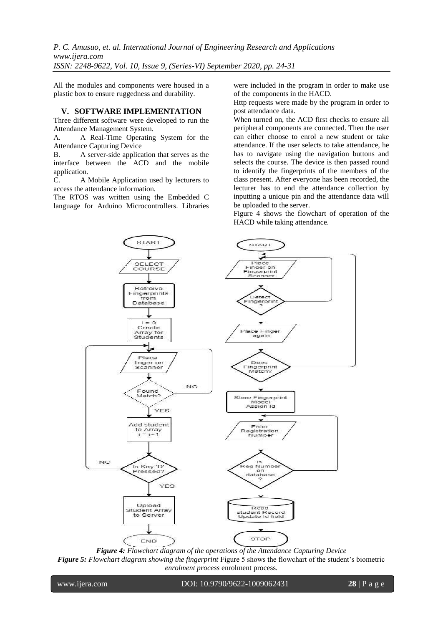All the modules and components were housed in a plastic box to ensure ruggedness and durability.

#### **V. SOFTWARE IMPLEMENTATION**

Three different software were developed to run the Attendance Management System.

A. A Real-Time Operating System for the Attendance Capturing Device

B. A server-side application that serves as the interface between the ACD and the mobile application.

C. A Mobile Application used by lecturers to access the attendance information.

The RTOS was written using the Embedded C language for Arduino Microcontrollers. Libraries

**START** 

SELECT COURSE

Retreive Fingerprints<br>from<br>Database

> $i = 0$ Create

Array for<br>Students

Place finger on<br>Scanner

Found Match?

Add student

to Array

Is Key 'D Ë

Upload

**Student Array** 

to Server

ess

ed?

YES

 $= i + 1$ ĩ

YES

**NO** 

were included in the program in order to make use of the components in the HACD.

Http requests were made by the program in order to post attendance data.

When turned on, the ACD first checks to ensure all peripheral components are connected. Then the user can either choose to enrol a new student or take attendance. If the user selects to take attendance, he has to navigate using the navigation buttons and selects the course. The device is then passed round to identify the fingerprints of the members of the class present. After everyone has been recorded, the lecturer has to end the attendance collection by inputting a unique pin and the attendance data will be uploaded to the server.

Figure 4 shows the flowchart of operation of the HACD while taking attendance.

**START** 

Place<br>Finger on<br>Fingerprint<br>Scanner

Detect Fingerprint

Place Finger

again

Does Fingerprint<br>Match?

Store Fingerprint<br>Model Assign Id

Enter

Registration

Number

Reg Numbe

on

database

Read

student Record

Update Id field

**STOP** 





NO<sub>1</sub>

www.ijera.com DOI: 10.9790/9622-1009062431 **28** | P a g e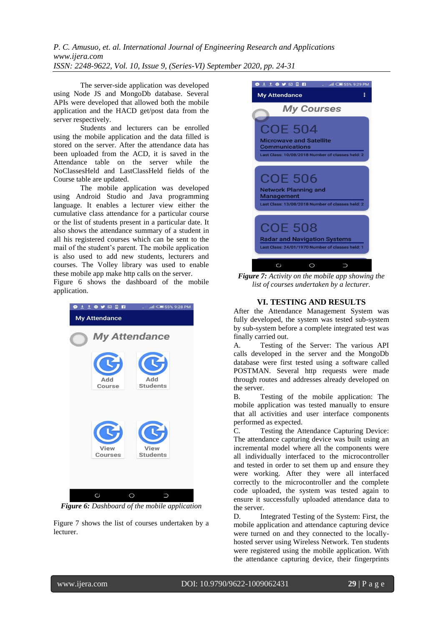The server-side application was developed using Node JS and MongoDb database. Several APIs were developed that allowed both the mobile application and the HACD get/post data from the server respectively.

Students and lecturers can be enrolled using the mobile application and the data filled is stored on the server. After the attendance data has been uploaded from the ACD, it is saved in the Attendance table on the server while the NoClassesHeld and LastClassHeld fields of the Course table are updated.

The mobile application was developed using Android Studio and Java programming language. It enables a lecturer view either the cumulative class attendance for a particular course or the list of students present in a particular date. It also shows the attendance summary of a student in all his registered courses which can be sent to the mail of the student's parent. The mobile application is also used to add new students, lecturers and courses. The Volley library was used to enable these mobile app make http calls on the server.

Figure 6 shows the dashboard of the mobile application.



*Figure 6: Dashboard of the mobile application*

Figure 7 shows the list of courses undertaken by a lecturer.



*Figure 7: Activity on the mobile app showing the list of courses undertaken by a lecturer.*

# **VI. TESTING AND RESULTS**

After the Attendance Management System was fully developed, the system was tested sub-system by sub-system before a complete integrated test was finally carried out.

A. Testing of the Server: The various API calls developed in the server and the MongoDb database were first tested using a software called POSTMAN. Several http requests were made through routes and addresses already developed on the server.

B. Testing of the mobile application: The mobile application was tested manually to ensure that all activities and user interface components performed as expected.

C. Testing the Attendance Capturing Device: The attendance capturing device was built using an incremental model where all the components were all individually interfaced to the microcontroller and tested in order to set them up and ensure they were working. After they were all interfaced correctly to the microcontroller and the complete code uploaded, the system was tested again to ensure it successfully uploaded attendance data to the server.

D. Integrated Testing of the System: First, the mobile application and attendance capturing device were turned on and they connected to the locallyhosted server using Wireless Network. Ten students were registered using the mobile application. With the attendance capturing device, their fingerprints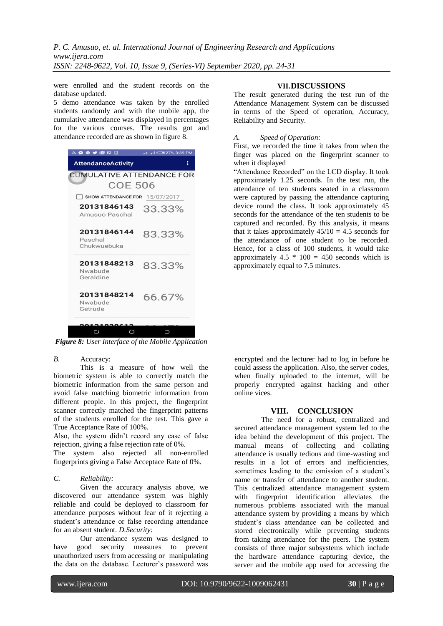were enrolled and the student records on the database updated.

5 demo attendance was taken by the enrolled students randomly and with the mobile app, the cumulative attendance was displayed in percentages for the various courses. The results got and attendance recorded are as shown in figure 8.

| A O O Y <b>ME E B</b>                 | PM 27% 3:39 PM الله ال |
|---------------------------------------|------------------------|
| <b>AttendanceActivity</b>             | ፧                      |
| CUMULATIVE ATTENDANCE FOR             |                        |
| <b>COE 506</b>                        |                        |
| SHOW ATTENDANCE FOR 15/07/2017        |                        |
| 20131846143<br>Amusuo Paschal         | 33.33%                 |
| 20131846144<br>Paschal<br>Chukwuebuka | 83.33%                 |
| 20131848213<br>Nwabude<br>Geraldine   | 83.33%                 |
| 20131848214<br>Nwabude<br>Getrude     | 66.67%                 |
|                                       |                        |
| Cί                                    |                        |

*Figure 8: User Interface of the Mobile Application*

#### *B.* Accuracy:

This is a measure of how well the biometric system is able to correctly match the biometric information from the same person and avoid false matching biometric information from different people. In this project, the fingerprint scanner correctly matched the fingerprint patterns of the students enrolled for the test. This gave a True Acceptance Rate of 100%.

Also, the system didn't record any case of false rejection, giving a false rejection rate of 0%.

The system also rejected all non-enrolled fingerprints giving a False Acceptace Rate of 0%.

### *C. Reliability:*

Given the accuracy analysis above, we discovered our attendance system was highly reliable and could be deployed to classroom for attendance purposes without fear of it rejecting a student's attendance or false recording attendance for an absent student. *D.Security:* 

Our attendance system was designed to have good security measures to prevent unauthorized users from accessing or manipulating the data on the database. Lecturer's password was

# **VII.DISCUSSIONS**

The result generated during the test run of the Attendance Management System can be discussed in terms of the Speed of operation, Accuracy, Reliability and Security.

### *A. Speed of Operation:*

First, we recorded the time it takes from when the finger was placed on the fingerprint scanner to when it displayed

"Attendance Recorded" on the LCD display. It took approximately 1.25 seconds. In the test run, the attendance of ten students seated in a classroom were captured by passing the attendance capturing device round the class. It took approximately 45 seconds for the attendance of the ten students to be captured and recorded. By this analysis, it means that it takes approximately  $45/10 = 4.5$  seconds for the attendance of one student to be recorded. Hence, for a class of 100 students, it would take approximately 4.5  $*$  100 = 450 seconds which is approximately equal to 7.5 minutes.

encrypted and the lecturer had to log in before he could assess the application. Also, the server codes, when finally uploaded to the internet, will be properly encrypted against hacking and other online vices.

## **VIII. CONCLUSION**

The need for a robust, centralized and secured attendance management system led to the idea behind the development of this project. The manual means of collecting and collating attendance is usually tedious and time-wasting and results in a lot of errors and inefficiencies, sometimes leading to the omission of a student's name or transfer of attendance to another student. This centralized attendance management system with fingerprint identification alleviates the numerous problems associated with the manual attendance system by providing a means by which student's class attendance can be collected and stored electronically while preventing students from taking attendance for the peers. The system consists of three major subsystems which include the hardware attendance capturing device, the server and the mobile app used for accessing the